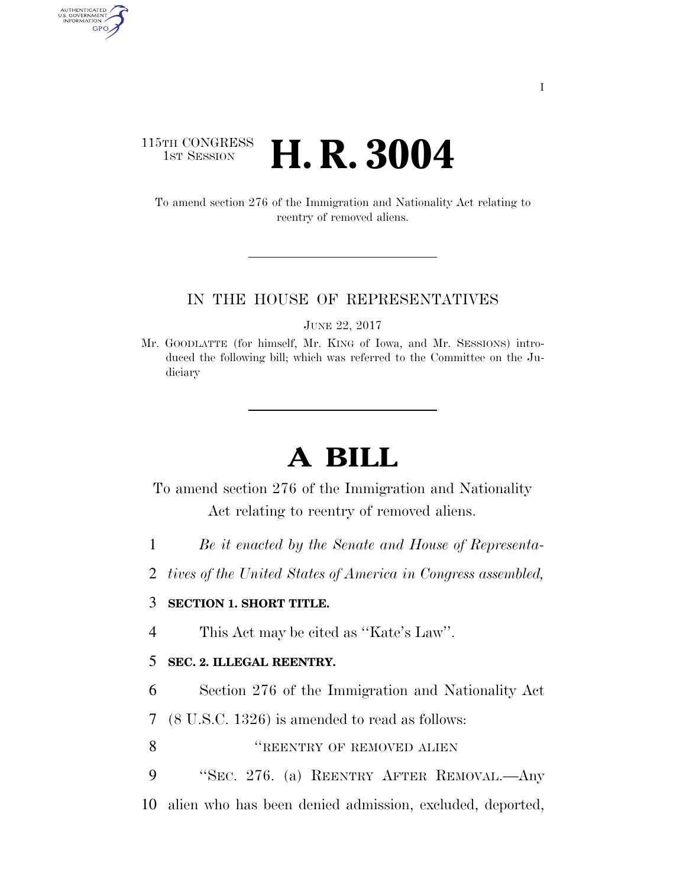## 115TH CONGRESS **1st Session H. R. 3004**

AUTHENTICATED<br>U.S. GOVERNMENT<br>INFORMATION GPO

> To amend section 276 of the Immigration and Nationality Act relating to reentry of removed aliens.

#### IN THE HOUSE OF REPRESENTATIVES

JUNE 22, 2017

Mr. GOODLATTE (for himself, Mr. KING of Iowa, and Mr. SESSIONS) introduced the following bill; which was referred to the Committee on the Judiciary

# **A BILL**

To amend section 276 of the Immigration and Nationality Act relating to reentry of removed aliens.

- 1 *Be it enacted by the Senate and House of Representa-*
- 2 *tives of the United States of America in Congress assembled,*

### 3 **SECTION 1. SHORT TITLE.**

4 This Act may be cited as ''Kate's Law''.

### 5 **SEC. 2. ILLEGAL REENTRY.**

6 Section 276 of the Immigration and Nationality Act

7 (8 U.S.C. 1326) is amended to read as follows:

8 **THE SECOND SECTION IN THE SECOND SET OF REMOVED ALIEN** 

9 ''SEC. 276. (a) REENTRY AFTER REMOVAL.—Any

10 alien who has been denied admission, excluded, deported,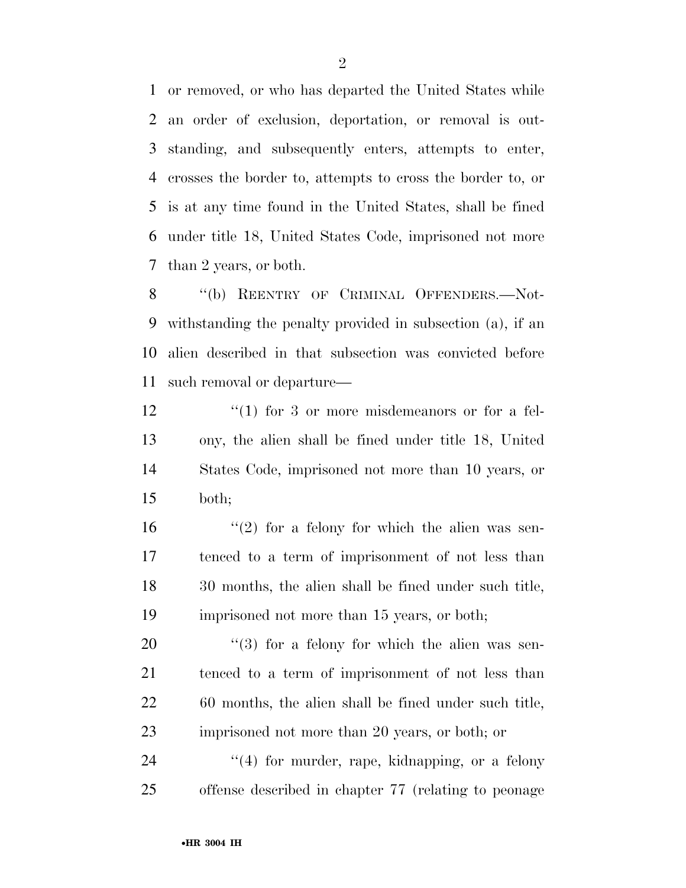or removed, or who has departed the United States while an order of exclusion, deportation, or removal is out- standing, and subsequently enters, attempts to enter, crosses the border to, attempts to cross the border to, or is at any time found in the United States, shall be fined under title 18, United States Code, imprisoned not more than 2 years, or both.

8 "(b) REENTRY OF CRIMINAL OFFENDERS.--Not- withstanding the penalty provided in subsection (a), if an alien described in that subsection was convicted before such removal or departure—

12 ''(1) for 3 or more misdemeanors or for a fel- ony, the alien shall be fined under title 18, United States Code, imprisoned not more than 10 years, or both;

 $(2)$  for a felony for which the alien was sen- tenced to a term of imprisonment of not less than 30 months, the alien shall be fined under such title, imprisoned not more than 15 years, or both;

 ''(3) for a felony for which the alien was sen- tenced to a term of imprisonment of not less than 60 months, the alien shall be fined under such title, imprisoned not more than 20 years, or both; or

24 "(4) for murder, rape, kidnapping, or a felony offense described in chapter 77 (relating to peonage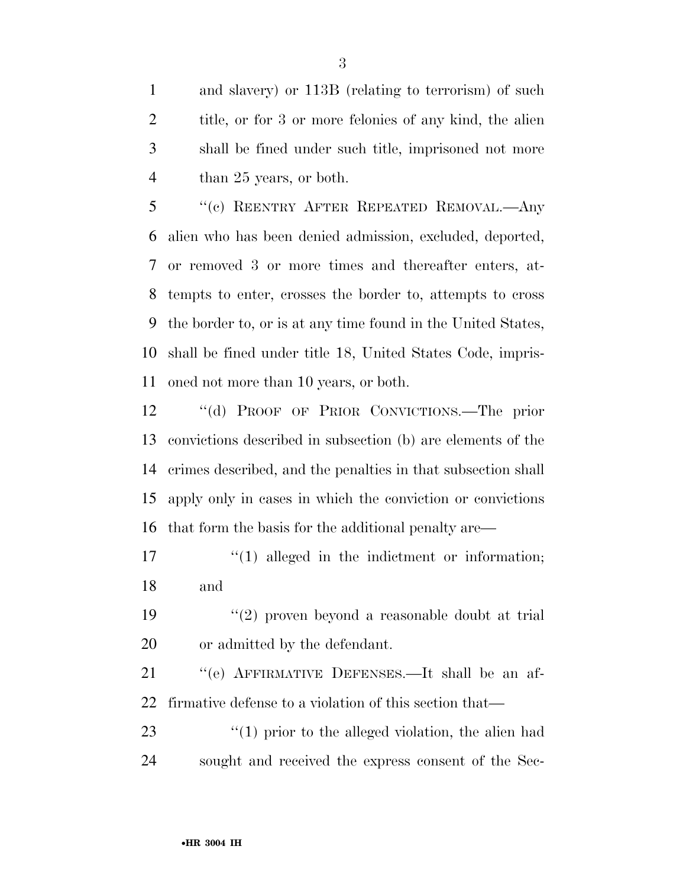and slavery) or 113B (relating to terrorism) of such title, or for 3 or more felonies of any kind, the alien shall be fined under such title, imprisoned not more than 25 years, or both.

 ''(c) REENTRY AFTER REPEATED REMOVAL.—Any alien who has been denied admission, excluded, deported, or removed 3 or more times and thereafter enters, at- tempts to enter, crosses the border to, attempts to cross the border to, or is at any time found in the United States, shall be fined under title 18, United States Code, impris-oned not more than 10 years, or both.

 ''(d) PROOF OF PRIOR CONVICTIONS.—The prior convictions described in subsection (b) are elements of the crimes described, and the penalties in that subsection shall apply only in cases in which the conviction or convictions that form the basis for the additional penalty are—

17  $\frac{1}{2}$  (1) alleged in the indictment or information; and

 ''(2) proven beyond a reasonable doubt at trial or admitted by the defendant.

 ''(e) AFFIRMATIVE DEFENSES.—It shall be an af-firmative defense to a violation of this section that—

23  $\frac{1}{2}$  (1) prior to the alleged violation, the alien had sought and received the express consent of the Sec-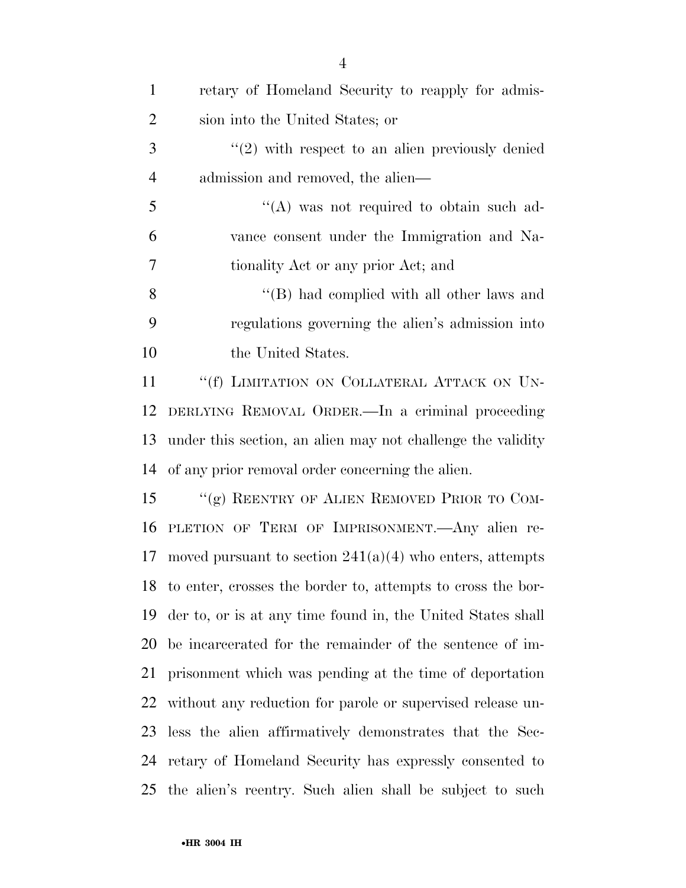| $\mathbf{1}$   | retary of Homeland Security to reapply for admis-              |
|----------------|----------------------------------------------------------------|
| $\overline{2}$ | sion into the United States; or                                |
| 3              | $\lq(2)$ with respect to an alien previously denied            |
| $\overline{4}$ | admission and removed, the alien—                              |
| 5              | $\lq\lq$ was not required to obtain such ad-                   |
| 6              | vance consent under the Immigration and Na-                    |
| 7              | tionality Act or any prior Act; and                            |
| 8              | $\lq$ (B) had complied with all other laws and                 |
| 9              | regulations governing the alien's admission into               |
| 10             | the United States.                                             |
| 11             | "(f) LIMITATION ON COLLATERAL ATTACK ON UN-                    |
| 12             | DERLYING REMOVAL ORDER.—In a criminal proceeding               |
| 13             | under this section, an alien may not challenge the validity    |
| 14             | of any prior removal order concerning the alien.               |
| 15             | "(g) REENTRY OF ALIEN REMOVED PRIOR TO COM-                    |
| 16             | PLETION OF TERM OF IMPRISONMENT. Any alien re-                 |
| 17             | moved pursuant to section $241(a)(4)$ who enters, attempts     |
|                | 18 to enter, crosses the border to, attempts to cross the bor- |
| 19             | der to, or is at any time found in, the United States shall    |
| 20             | be incarcerated for the remainder of the sentence of im-       |
| 21             | prisonment which was pending at the time of deportation        |
| 22             | without any reduction for parole or supervised release un-     |
| 23             | less the alien affirmatively demonstrates that the Sec-        |
| 24             | retary of Homeland Security has expressly consented to         |
| 25             | the alien's reentry. Such alien shall be subject to such       |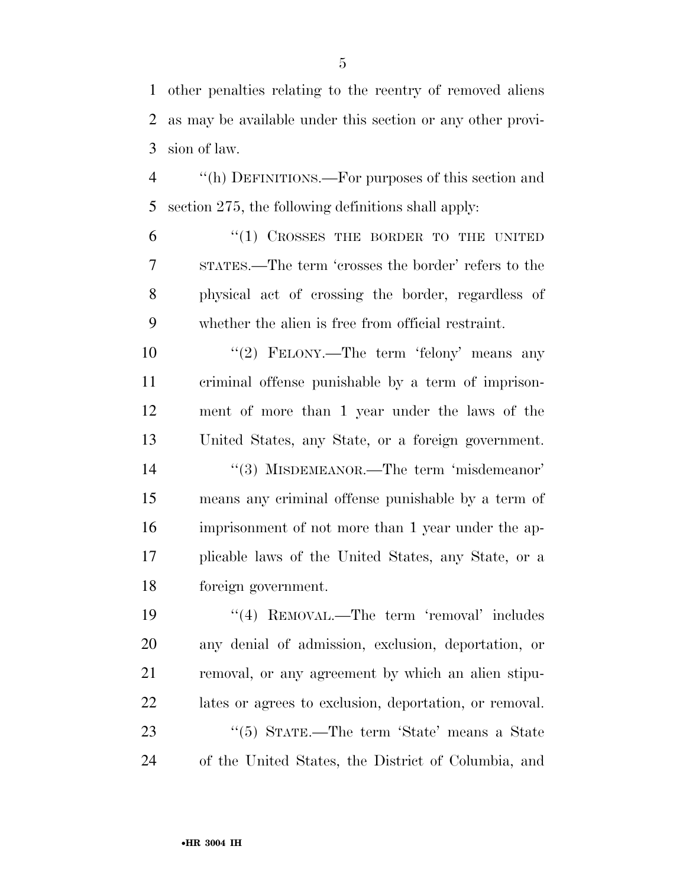other penalties relating to the reentry of removed aliens as may be available under this section or any other provi-sion of law.

 ''(h) DEFINITIONS.—For purposes of this section and section 275, the following definitions shall apply:

 ''(1) CROSSES THE BORDER TO THE UNITED STATES.—The term 'crosses the border' refers to the physical act of crossing the border, regardless of whether the alien is free from official restraint.

10 ''(2) FELONY.—The term 'felony' means any criminal offense punishable by a term of imprison- ment of more than 1 year under the laws of the United States, any State, or a foreign government.

14 ''(3) MISDEMEANOR.—The term 'misdemeanor' means any criminal offense punishable by a term of imprisonment of not more than 1 year under the ap- plicable laws of the United States, any State, or a foreign government.

19 ''(4) REMOVAL.—The term 'removal' includes any denial of admission, exclusion, deportation, or removal, or any agreement by which an alien stipu- lates or agrees to exclusion, deportation, or removal. 23 ''(5) STATE.—The term 'State' means a State of the United States, the District of Columbia, and